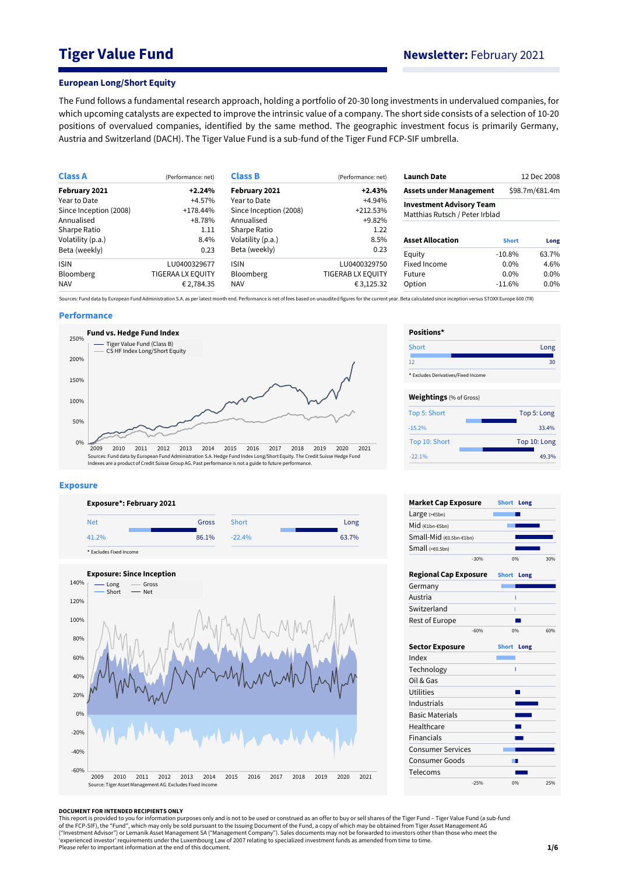# **Tiger Value Fund Newsletter:** February 2021

#### **European Long/Short Equity**

The Fund follows a fundamental research approach, holding a portfolio of 20-30 long investments in undervalued companies, for which upcoming catalysts are expected to improve the intrinsic value of a company. The short side consists of a selection of 10-20 positions of overvalued companies, identified by the same method. The geographic investment focus is primarily Germany, Austria and Switzerland (DACH). The Tiger Value Fund is a sub-fund of the Tiger Fund FCP-SIF umbrella.

| <b>Class A</b>         | (Performance: net)       | <b>Class B</b>         | (Performance: net)       | <b>Launch Date</b>              |              | 12 Dec 2008    |
|------------------------|--------------------------|------------------------|--------------------------|---------------------------------|--------------|----------------|
| February 2021          | $+2.24%$                 | February 2021          | $+2.43%$                 | <b>Assets under Management</b>  |              | \$98.7m/€81.4m |
| Year to Date           | +4.57%                   | Year to Date           | +4.94%                   | <b>Investment Advisory Team</b> |              |                |
| Since Inception (2008) | $+178.44%$               | Since Inception (2008) | $+212.53%$               | Matthias Rutsch / Peter Irblad  |              |                |
| Annualised             | +8.78%                   | Annualised             | $+9.82%$                 |                                 |              |                |
| Sharpe Ratio           | 1.11                     | Sharpe Ratio           | 1.22                     |                                 |              |                |
| Volatility (p.a.)      | 8.4%                     | Volatility (p.a.)      | 8.5%                     | <b>Asset Allocation</b>         | <b>Short</b> | Long           |
| Beta (weekly)          | 0.23                     | Beta (weekly)          | 0.23                     | Equity                          | $-10.8\%$    | 63.7%          |
| <b>ISIN</b>            | LU0400329677             | <b>ISIN</b>            | LU0400329750             | Fixed Income                    | $0.0\%$      | 4.6%           |
| <b>Bloomberg</b>       | <b>TIGERAA LX EQUITY</b> | <b>Bloomberg</b>       | <b>TIGERAB LX EQUITY</b> | Future                          | $0.0\%$      | $0.0\%$        |
| <b>NAV</b>             | € 2,784.35               | <b>NAV</b>             | € 3,125.32               | Option                          | $-11.6\%$    | $0.0\%$        |

Sources: Fund data by European Fund Administration S.A. as per latest month end. Performance is net of fees based on unaudited figures for the current year. Beta calculated since inception versus STOXX Europe 600 (TR)

#### **Performance**



#### **Exposure**





| Positions*                          |              |
|-------------------------------------|--------------|
| Short                               | Long         |
| 12                                  | 30           |
| * Excludes Derivatives/Fixed Income |              |
| <b>Weightings</b> (% of Gross)      |              |
| Top 5: Short                        | Top 5: Long  |
| $-15.2%$                            | 33.4%        |
| Top 10: Short                       | Top 10: Long |
| $-22.1%$                            | 49.3%        |

| <b>Market Cap Exposure</b>   |        | <b>Short</b> | Long |     |
|------------------------------|--------|--------------|------|-----|
| Large $(>=5bn)$              |        |              |      |     |
| Mid (€1bn-€5bn)              |        |              |      |     |
| Small-Mid (€0.5bn-€1bn)      |        |              |      |     |
| Small $(60.5bn)$             |        |              |      |     |
|                              | $-30%$ | 0%           |      | 30% |
| <b>Regional Cap Exposure</b> |        | <b>Short</b> | Long |     |
| Germany                      |        |              |      |     |
| Austria                      |        |              |      |     |
| Switzerland                  |        | I            |      |     |
| Rest of Europe               |        |              |      |     |
|                              | $-60%$ | 0%           |      | 60% |
| <b>Sector Exposure</b>       |        | <b>Short</b> | Long |     |
| Index                        |        |              |      |     |
| Technology                   |        |              | ī    |     |
| Oil & Gas                    |        |              |      |     |
| Utilities                    |        |              |      |     |
| Industrials                  |        |              |      |     |
| <b>Basic Materials</b>       |        |              |      |     |
| Healthcare                   |        |              |      |     |
| <b>Financials</b>            |        |              |      |     |
| <b>Consumer Services</b>     |        |              |      |     |
| <b>Consumer Goods</b>        |        |              |      |     |
| Telecoms                     |        |              |      |     |
|                              | $-25%$ | 0%           |      | 25% |

#### **DOCUMENT FOR INTENDED RECIPIENTS ONLY**

This report is provided to you for information purposes only and is not to be used or construed as an offer to buy or sell shares of the Tiger Fund – Tiger Value Fund (a sub-fund<br>of the FCP-SIF), the "Fund", which may only ("Investment Advisor") or Lemanik Asset Management SA ("Management Company"). Sales documents may not be forwarded to investors other than those who meet the<br>'experienced investor' requirements under the Luxembourg Law of Please refer to important information at the end of this document.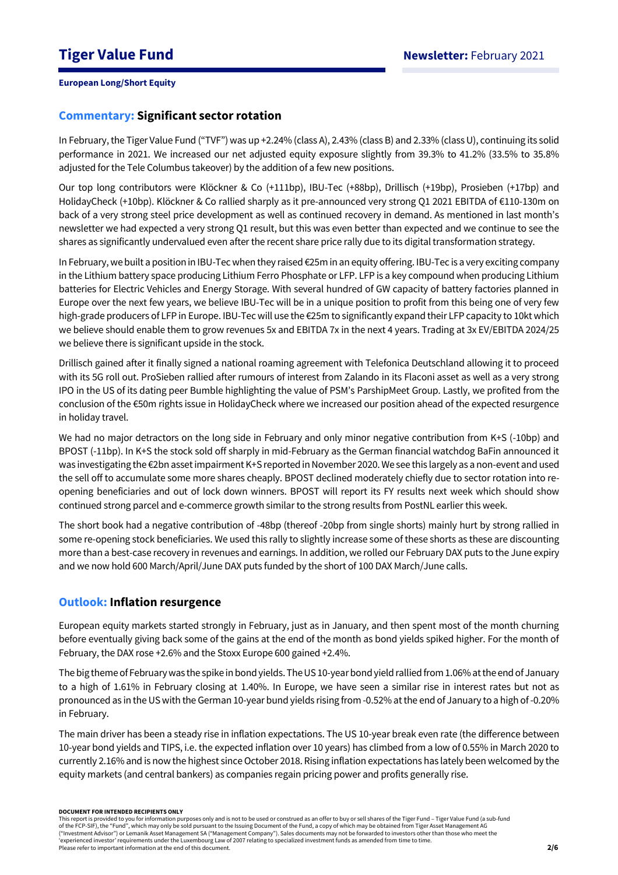## **Commentary: Significant sector rotation**

In February, the Tiger Value Fund ("TVF") was up +2.24% (class A), 2.43% (class B) and 2.33% (class U), continuing its solid performance in 2021. We increased our net adjusted equity exposure slightly from 39.3% to 41.2% (33.5% to 35.8% adjusted for the Tele Columbus takeover) by the addition of a few new positions.

Our top long contributors were Klöckner & Co (+111bp), IBU-Tec (+88bp), Drillisch (+19bp), Prosieben (+17bp) and HolidayCheck (+10bp). Klöckner & Co rallied sharply as it pre-announced very strong Q1 2021 EBITDA of €110-130m on back of a very strong steel price development as well as continued recovery in demand. As mentioned in last month's newsletter we had expected a very strong Q1 result, but this was even better than expected and we continue to see the shares as significantly undervalued even after the recent share price rally due to its digital transformation strategy.

In February, we built a position in IBU-Tec when they raised €25m in an equity offering. IBU-Tec is a very exciting company in the Lithium battery space producing Lithium Ferro Phosphate or LFP. LFP is a key compound when producing Lithium batteries for Electric Vehicles and Energy Storage. With several hundred of GW capacity of battery factories planned in Europe over the next few years, we believe IBU-Tec will be in a unique position to profit from this being one of very few high-grade producers of LFP in Europe. IBU-Tec will use the €25m to significantly expand their LFP capacity to 10kt which we believe should enable them to grow revenues 5x and EBITDA 7x in the next 4 years. Trading at 3x EV/EBITDA 2024/25 we believe there is significant upside in the stock.

Drillisch gained after it finally signed a national roaming agreement with Telefonica Deutschland allowing it to proceed with its 5G roll out. ProSieben rallied after rumours of interest from Zalando in its Flaconi asset as well as a very strong IPO in the US of its dating peer Bumble highlighting the value of PSM's ParshipMeet Group. Lastly, we profited from the conclusion of the €50m rights issue in HolidayCheck where we increased our position ahead of the expected resurgence in holiday travel.

We had no major detractors on the long side in February and only minor negative contribution from K+S (-10bp) and BPOST (-11bp). In K+S the stock sold off sharply in mid-February as the German financial watchdog BaFin announced it was investigating the €2bn asset impairment K+S reported in November 2020. We see this largely as a non-event and used the sell off to accumulate some more shares cheaply. BPOST declined moderately chiefly due to sector rotation into reopening beneficiaries and out of lock down winners. BPOST will report its FY results next week which should show continued strong parcel and e-commerce growth similar to the strong results from PostNL earlier this week.

The short book had a negative contribution of -48bp (thereof -20bp from single shorts) mainly hurt by strong rallied in some re-opening stock beneficiaries. We used this rally to slightly increase some of these shorts as these are discounting more than a best-case recovery in revenues and earnings. In addition, we rolled our February DAX puts to the June expiry and we now hold 600 March/April/June DAX puts funded by the short of 100 DAX March/June calls.

## **Outlook: Inflation resurgence**

European equity markets started strongly in February, just as in January, and then spent most of the month churning before eventually giving back some of the gains at the end of the month as bond yields spiked higher. For the month of February, the DAX rose +2.6% and the Stoxx Europe 600 gained +2.4%.

The big theme of February was the spike in bond yields. The US 10-year bond yield rallied from 1.06% at the end of January to a high of 1.61% in February closing at 1.40%. In Europe, we have seen a similar rise in interest rates but not as pronounced as in the US with the German 10-year bund yields rising from -0.52% at the end of January to a high of -0.20% in February.

The main driver has been a steady rise in inflation expectations. The US 10-year break even rate (the difference between 10-year bond yields and TIPS, i.e. the expected inflation over 10 years) has climbed from a low of 0.55% in March 2020 to currently 2.16% and is now the highest since October 2018. Rising inflation expectations has lately been welcomed by the equity markets (and central bankers) as companies regain pricing power and profits generally rise.

#### **DOCUMENT FOR INTENDED RECIPIENTS ONLY**

This report is provided to you for information purposes only and is not to be used or construed as an offer to buy or sell shares of the Tiger Fund – Tiger Value Fund (a sub-fund of the FCP-SIF), the "Fund", which may only be sold pursuant to the Issuing Document of the Fund, a copy of which may be obtained from Tiger Asset Management AG ("Investment Advisor") or Lemanik Asset Management SA ("Management Company"). Sales documents may not be forwarded to investors other than those who meet the 'experienced investor' requirements under the Luxembourg Law of 2007 relating to specialized investment funds as amended from time to time. Please refer to important information at the end of this document.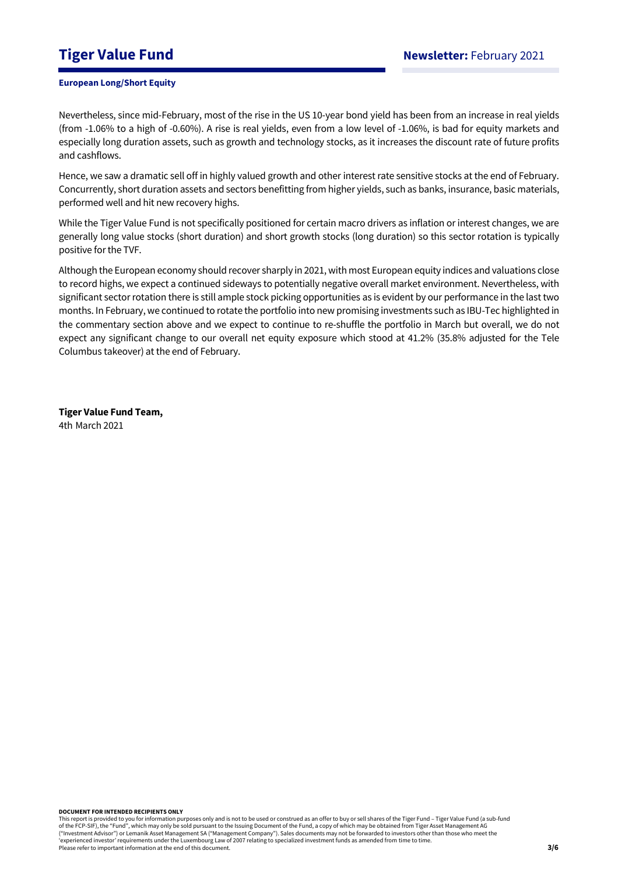Nevertheless, since mid-February, most of the rise in the US 10-year bond yield has been from an increase in real yields (from -1.06% to a high of -0.60%). A rise is real yields, even from a low level of -1.06%, is bad for equity markets and especially long duration assets, such as growth and technology stocks, as it increases the discount rate of future profits and cashflows.

Hence, we saw a dramatic sell off in highly valued growth and other interest rate sensitive stocks at the end of February. Concurrently, short duration assets and sectors benefitting from higher yields, such as banks, insurance, basic materials, performed well and hit new recovery highs.

While the Tiger Value Fund is not specifically positioned for certain macro drivers as inflation or interest changes, we are generally long value stocks (short duration) and short growth stocks (long duration) so this sector rotation is typically positive for the TVF.

Although the European economy should recover sharply in 2021, with most European equity indices and valuations close to record highs, we expect a continued sideways to potentially negative overall market environment. Nevertheless, with significant sector rotation there is still ample stock picking opportunities as is evident by our performance in the last two months. In February, we continued to rotate the portfolio into new promising investments such as IBU-Tec highlighted in the commentary section above and we expect to continue to re-shuffle the portfolio in March but overall, we do not expect any significant change to our overall net equity exposure which stood at 41.2% (35.8% adjusted for the Tele Columbus takeover) at the end of February.

**Tiger Value Fund Team,**  4th March 2021

**DOCUMENT FOR INTENDED RECIPIENTS ONLY**

This report is provided to you for information purposes only and is not to be used or construed as an offer to buy or sell shares of the Tiger Fund – Tiger Value Fund (a sub-fund of the FCP-SIF), the "Fund", which may only be sold pursuant to the Issuing Document of the Fund, a copy of which may be obtained from Tiger Asset Management AG ("Investment Advisor") or Lemanik Asset Management SA ("Management Company"). Sales documents may not be forwarded to investors other than those who meet the 'experienced investor' requirements under the Luxembourg Law of 2007 relating to specialized investment funds as amended from time to time. Please refer to important information at the end of this document.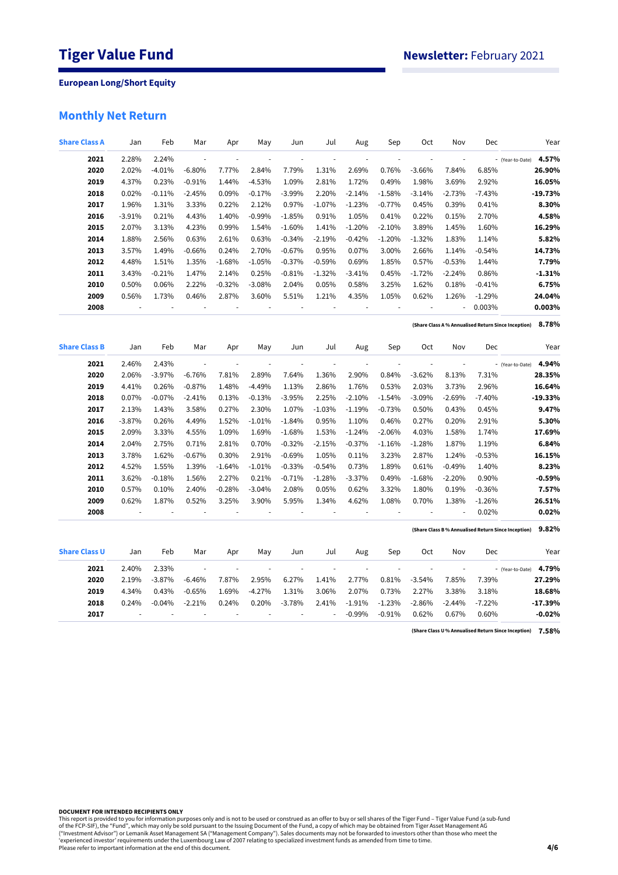## **Monthly Net Return**

| <b>Share Class A</b> | Jan           | Feb                      | Mar                      | Apr      | May            | Jun                      | Jul                      | Aug                      | Sep                      | <b>Oct</b>               | Nov                      | Dec      | Year                                                         |
|----------------------|---------------|--------------------------|--------------------------|----------|----------------|--------------------------|--------------------------|--------------------------|--------------------------|--------------------------|--------------------------|----------|--------------------------------------------------------------|
| 2021                 | 2.28%         | 2.24%                    | ÷,                       | ÷,       | ÷,             | ÷,                       | ÷,                       | ÷,                       | ł,                       | ÷,                       | i,                       |          | 4.57%<br>- (Year-to-Date)                                    |
| 2020                 | 2.02%         | $-4.01%$                 | $-6.80%$                 | 7.77%    | 2.84%          | 7.79%                    | 1.31%                    | 2.69%                    | 0.76%                    | $-3.66%$                 | 7.84%                    | 6.85%    | 26.90%                                                       |
| 2019                 | 4.37%         | 0.23%                    | $-0.91%$                 | 1.44%    | $-4.53%$       | 1.09%                    | 2.81%                    | 1.72%                    | 0.49%                    | 1.98%                    | 3.69%                    | 2.92%    | 16.05%                                                       |
| 2018                 | 0.02%         | $-0.11%$                 | $-2.45%$                 | 0.09%    | $-0.17%$       | $-3.99%$                 | 2.20%                    | $-2.14%$                 | $-1.58%$                 | $-3.14%$                 | $-2.73%$                 | $-7.43%$ | $-19.73%$                                                    |
| 2017                 | 1.96%         | 1.31%                    | 3.33%                    | 0.22%    | 2.12%          | 0.97%                    | $-1.07%$                 | $-1.23%$                 | $-0.77%$                 | 0.45%                    | 0.39%                    | 0.41%    | 8.30%                                                        |
| 2016                 | $-3.91%$      | 0.21%                    | 4.43%                    | 1.40%    | $-0.99%$       | $-1.85%$                 | 0.91%                    | 1.05%                    | 0.41%                    | 0.22%                    | 0.15%                    | 2.70%    | 4.58%                                                        |
| 2015                 | 2.07%         | 3.13%                    | 4.23%                    | 0.99%    | 1.54%          | $-1.60%$                 | 1.41%                    | $-1.20%$                 | $-2.10%$                 | 3.89%                    | 1.45%                    | 1.60%    | 16.29%                                                       |
| 2014                 | 1.88%         | 2.56%                    | 0.63%                    | 2.61%    | 0.63%          | $-0.34%$                 | $-2.19%$                 | $-0.42%$                 | $-1.20%$                 | $-1.32%$                 | 1.83%                    | 1.14%    | 5.82%                                                        |
| 2013                 | 3.57%         | 1.49%                    | $-0.66%$                 | 0.24%    | 2.70%          | $-0.67%$                 | 0.95%                    | 0.07%                    | 3.00%                    | 2.66%                    | 1.14%                    | $-0.54%$ | 14.73%                                                       |
| 2012                 | 4.48%         | 1.51%                    | 1.35%                    | $-1.68%$ | $-1.05%$       | $-0.37%$                 | $-0.59%$                 | 0.69%                    | 1.85%                    | 0.57%                    | $-0.53%$                 | 1.44%    | 7.79%                                                        |
| 2011                 | 3.43%         | $-0.21%$                 | 1.47%                    | 2.14%    | 0.25%          | $-0.81%$                 | $-1.32%$                 | $-3.41%$                 | 0.45%                    | $-1.72%$                 | $-2.24%$                 | 0.86%    | $-1.31%$                                                     |
| 2010                 | 0.50%         | 0.06%                    | 2.22%                    | $-0.32%$ | $-3.08%$       | 2.04%                    | 0.05%                    | 0.58%                    | 3.25%                    | 1.62%                    | 0.18%                    | $-0.41%$ | 6.75%                                                        |
| 2009                 | 0.56%         | 1.73%                    | 0.46%                    | 2.87%    | 3.60%          | 5.51%                    | 1.21%                    | 4.35%                    | 1.05%                    | 0.62%                    | 1.26%                    | $-1.29%$ | 24.04%                                                       |
| 2008                 | $\frac{1}{2}$ | $\overline{\phantom{a}}$ | ł,                       | ÷,       |                |                          | ÷,                       | ÷,                       | ł,                       | ÷                        | ÷,                       | 0.003%   | 0.003%                                                       |
|                      |               |                          |                          |          |                |                          |                          |                          |                          |                          |                          |          | 8.78%<br>(Share Class A % Annualised Return Since Inception) |
| <b>Share Class B</b> | Jan           | Feb                      | Mar                      | Apr      | May            | Jun                      | Jul                      | Aug                      | Sep                      | Oct                      | Nov                      | Dec      | Year                                                         |
| 2021                 | 2.46%         | 2.43%                    | $\overline{\phantom{a}}$ |          |                | $\overline{\phantom{a}}$ | ÷,                       |                          |                          | $\overline{\phantom{a}}$ | $\overline{\phantom{a}}$ |          | 4.94%<br>- (Year-to-Date)                                    |
| 2020                 | 2.06%         | $-3.97%$                 | $-6.76%$                 | 7.81%    | 2.89%          | 7.64%                    | 1.36%                    | 2.90%                    | 0.84%                    | $-3.62%$                 | 8.13%                    | 7.31%    | 28.35%                                                       |
| 2019                 | 4.41%         | 0.26%                    | $-0.87%$                 | 1.48%    | $-4.49%$       | 1.13%                    | 2.86%                    | 1.76%                    | 0.53%                    | 2.03%                    | 3.73%                    | 2.96%    | 16.64%                                                       |
| 2018                 | 0.07%         | $-0.07%$                 | $-2.41%$                 | 0.13%    | $-0.13%$       | $-3.95%$                 | 2.25%                    | $-2.10%$                 | $-1.54%$                 | $-3.09%$                 | $-2.69%$                 | $-7.40%$ | $-19.33%$                                                    |
| 2017                 | 2.13%         | 1.43%                    | 3.58%                    | 0.27%    | 2.30%          | 1.07%                    | $-1.03%$                 | $-1.19%$                 | $-0.73%$                 | 0.50%                    | 0.43%                    | 0.45%    | 9.47%                                                        |
| 2016                 | $-3.87%$      | 0.26%                    | 4.49%                    | 1.52%    | $-1.01%$       | $-1.84%$                 | 0.95%                    | 1.10%                    | 0.46%                    | 0.27%                    | 0.20%                    | 2.91%    | 5.30%                                                        |
| 2015                 | 2.09%         | 3.33%                    | 4.55%                    | 1.09%    | 1.69%          | $-1.68%$                 | 1.53%                    | $-1.24%$                 | $-2.06%$                 | 4.03%                    | 1.58%                    | 1.74%    | 17.69%                                                       |
| 2014                 | 2.04%         | 2.75%                    | 0.71%                    | 2.81%    | 0.70%          | $-0.32%$                 | $-2.15%$                 | $-0.37%$                 | $-1.16%$                 | $-1.28%$                 | 1.87%                    | 1.19%    | 6.84%                                                        |
| 2013                 | 3.78%         | 1.62%                    | $-0.67%$                 | 0.30%    | 2.91%          | $-0.69%$                 | 1.05%                    | 0.11%                    | 3.23%                    | 2.87%                    | 1.24%                    | $-0.53%$ | 16.15%                                                       |
| 2012                 | 4.52%         | 1.55%                    | 1.39%                    | $-1.64%$ | $-1.01%$       | $-0.33%$                 | $-0.54%$                 | 0.73%                    | 1.89%                    | 0.61%                    | $-0.49%$                 | 1.40%    | 8.23%                                                        |
| 2011                 | 3.62%         | $-0.18%$                 | 1.56%                    | 2.27%    | 0.21%          | $-0.71%$                 | $-1.28%$                 | $-3.37%$                 | 0.49%                    | $-1.68%$                 | $-2.20%$                 | 0.90%    | $-0.59%$                                                     |
| 2010                 | 0.57%         | 0.10%                    | 2.40%                    | $-0.28%$ | $-3.04%$       | 2.08%                    | 0.05%                    | 0.62%                    | 3.32%                    | 1.80%                    | 0.19%                    | $-0.36%$ | 7.57%                                                        |
| 2009                 | 0.62%         | 1.87%                    | 0.52%                    | 3.25%    | 3.90%          | 5.95%                    | 1.34%                    | 4.62%                    | 1.08%                    | 0.70%                    | 1.38%                    | $-1.26%$ | 26.51%                                                       |
| 2008                 | ÷,            | ÷,                       | ÷,                       | ÷,       | ÷,             |                          | ÷,                       | ÷,                       | $\overline{\phantom{a}}$ | ÷,                       | ÷,                       | 0.02%    | 0.02%                                                        |
|                      |               |                          |                          |          |                |                          |                          |                          |                          |                          |                          |          | 9.82%<br>(Share Class B% Annualised Return Since Inception)  |
| <b>Share Class U</b> | Jan           | Feb                      | Mar                      | Apr      | May            | Jun                      | Jul                      | Aug                      | Sep                      | Oct                      | Nov                      | Dec      | Year                                                         |
| 2021                 | 2.40%         | 2.33%                    | $\overline{\phantom{a}}$ | ÷,       | $\overline{a}$ | $\overline{a}$           | $\overline{\phantom{a}}$ | $\overline{\phantom{a}}$ | ä,                       | $\overline{\phantom{a}}$ | $\overline{\phantom{a}}$ |          | 4.79%<br>- (Year-to-Date)                                    |
| 2020                 | 2.19%         | $-3.87%$                 | $-6.46%$                 | 7.87%    | 2.95%          | 6.27%                    | 1.41%                    | 2.77%                    | 0.81%                    | $-3.54%$                 | 7.85%                    | 7.39%    | 27.29%                                                       |
| 2019                 | 4.34%         | 0.43%                    | $-0.65%$                 | 1.69%    | $-4.27%$       | 1.31%                    | 3.06%                    | 2.07%                    | 0.73%                    | 2.27%                    | 3.38%                    | 3.18%    | 18.68%                                                       |
| 2018                 | 0.24%         | $-0.04%$                 | $-2.21%$                 | 0.24%    | 0.20%          | $-3.78%$                 | 2.41%                    | $-1.91%$                 | $-1.23%$                 | $-2.86%$                 | $-2.44%$                 | $-7.22%$ | $-17.39%$                                                    |
| 2017                 |               |                          |                          |          |                |                          | ä,                       | $-0.99%$                 | $-0.91%$                 | 0.62%                    | 0.67%                    | 0.60%    | $-0.02%$                                                     |

**7.58% (Share Class U % Annualised Return Since Inception)**

**DOCUMENT FOR INTENDED RECIPIENTS ONLY**

This report is provided to you for information purposes only and is not to be used or construed as an offer to buy or sell shares of the Tiger Fund – Tiger Value Fund (a sub-fund<br>of the FCP-SIF), the "Fund", which may only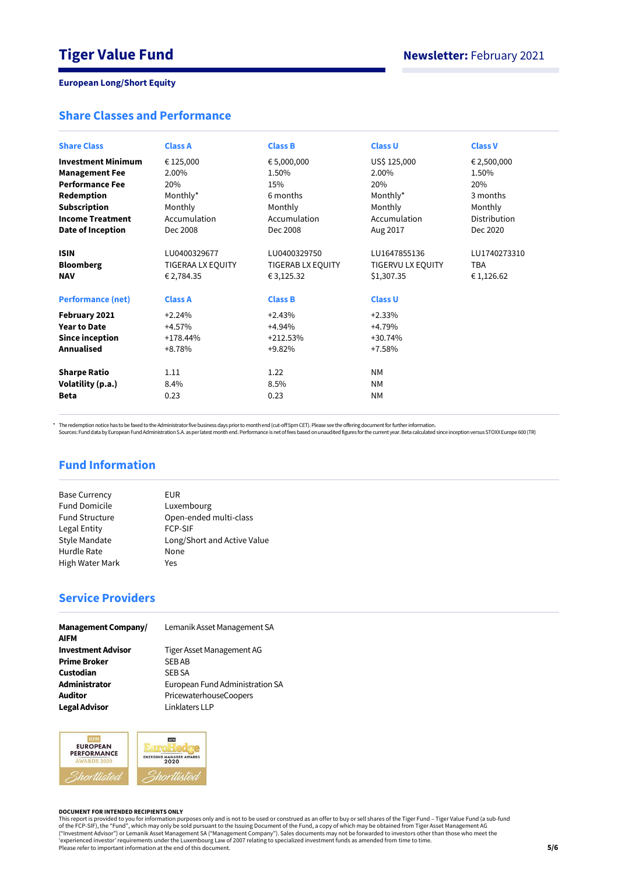## **Share Classes and Performance**

| <b>Share Class</b>        | <b>Class A</b>    | <b>Class B</b>           | <b>Class U</b>           | <b>Class V</b> |
|---------------------------|-------------------|--------------------------|--------------------------|----------------|
|                           |                   |                          |                          |                |
| <b>Investment Minimum</b> | € 125,000         | € 5,000,000              | US\$ 125,000             | € 2,500,000    |
| <b>Management Fee</b>     | 2.00%             | 1.50%                    | 2.00%                    | 1.50%          |
| <b>Performance Fee</b>    | 20%               | 15%                      | 20%                      | 20%            |
| Redemption                | Monthly*          | 6 months                 | Monthly*                 | 3 months       |
| <b>Subscription</b>       | Monthly           | Monthly                  | Monthly                  | Monthly        |
| <b>Income Treatment</b>   | Accumulation      | Accumulation             | Accumulation             | Distribution   |
| Date of Inception         | Dec 2008          | Dec 2008                 | Aug 2017                 | Dec 2020       |
| <b>ISIN</b>               | LU0400329677      | LU0400329750             | LU1647855136             | LU1740273310   |
| <b>Bloomberg</b>          | TIGERAA LX EQUITY | <b>TIGERAB LX EQUITY</b> | <b>TIGERVU LX EQUITY</b> | <b>TBA</b>     |
| <b>NAV</b>                | € 2,784.35        | € 3,125.32               | \$1,307.35               | € 1,126.62     |
| <b>Performance (net)</b>  | <b>Class A</b>    | <b>Class B</b>           | <b>Class U</b>           |                |
| February 2021             | $+2.24%$          | $+2.43%$                 | $+2.33%$                 |                |
| <b>Year to Date</b>       | $+4.57%$          | $+4.94%$                 | $+4.79%$                 |                |
| Since inception           | $+178.44%$        | $+212.53%$               | $+30.74%$                |                |
| <b>Annualised</b>         | $+8.78%$          | $+9.82%$                 | $+7.58%$                 |                |
| <b>Sharpe Ratio</b>       | 1.11              | 1.22                     | <b>NM</b>                |                |
| Volatility (p.a.)         | 8.4%              | 8.5%                     | <b>NM</b>                |                |
| <b>Beta</b>               | 0.23              | 0.23                     | <b>NM</b>                |                |

\* The redemption notice has to be faxed to the Administrator five business days prior to month end (cut-off 5pm CET). Please see the offering document for further information.<br>Sources: Fund data by European Fund Administra

## **Fund Information**

| <b>Base Currency</b>   | EUR                         |
|------------------------|-----------------------------|
| <b>Fund Domicile</b>   | Luxembourg                  |
| <b>Fund Structure</b>  | Open-ended multi-class      |
| Legal Entity           | <b>FCP-SIF</b>              |
| Style Mandate          | Long/Short and Active Value |
| Hurdle Rate            | None                        |
| <b>High Water Mark</b> | Yes                         |

## **Service Providers**

| <b>Management Company/</b><br><b>AIFM</b> | Lemanik Asset Management SA     |
|-------------------------------------------|---------------------------------|
| <b>Investment Advisor</b>                 | Tiger Asset Management AG       |
| <b>Prime Broker</b>                       | <b>SEBAB</b>                    |
| Custodian                                 | <b>SEB SA</b>                   |
| Administrator                             | European Fund Administration SA |
| <b>Auditor</b>                            | PricewaterhouseCoopers          |
| <b>Legal Advisor</b>                      | Linklaters LLP                  |



#### **DOCUMENT FOR INTENDED RECIPIENTS ONLY**

This report is provided to you for information purposes only and is not to be used or construed as an offer to buy or sell shares of the Tiger Fund – Tiger Value Fund (a sub-fund<br>of the FCP-SIF), the "Fund", which may only